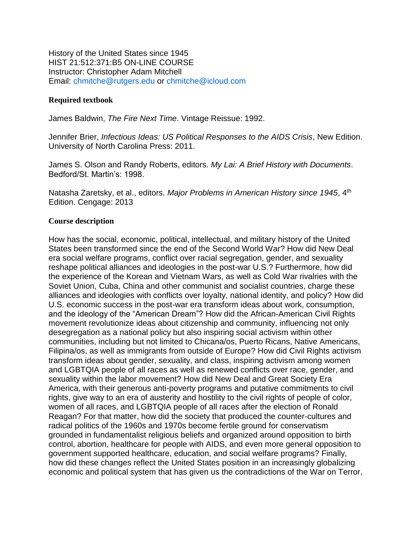History of the United States since 1945 HIST 21:512:371:B5 ON-LINE COURSE Instructor: Christopher Adam Mitchell Email: chmitche@rutgers.edu or chmitche@icloud.com

#### **Required textbook**

James Baldwin, *The Fire Next Time*. Vintage Reissue: 1992.

Jennifer Brier, *Infectious Ideas: US Political Responses to the AIDS Crisis*, New Edition. University of North Carolina Press: 2011.

James S. Olson and Randy Roberts, editors. *My Lai: A Brief History with Documents*. Bedford/St. Martin's: 1998.

Natasha Zaretsky, et al., editors. *Major Problems in American History since 1945*, 4th Edition. Cengage: 2013

#### **Course description**

How has the social, economic, political, intellectual, and military history of the United States been transformed since the end of the Second World War? How did New Deal era social welfare programs, conflict over racial segregation, gender, and sexuality reshape political alliances and ideologies in the post-war U.S.? Furthermore, how did the experience of the Korean and Vietnam Wars, as well as Cold War rivalries with the Soviet Union, Cuba, China and other communist and socialist countries, charge these alliances and ideologies with conflicts over loyalty, national identity, and policy? How did U.S. economic success in the post-war era transform ideas about work, consumption, and the ideology of the "American Dream"? How did the African-American Civil Rights movement revolutionize ideas about citizenship and community, influencing not only desegregation as a national policy but also inspiring social activism within other communities, including but not limited to Chicana/os, Puerto Ricans, Native Americans, Filipina/os, as well as immigrants from outside of Europe? How did Civil Rights activism transform ideas about gender, sexuality, and class, inspiring activism among women and LGBTQIA people of all races as well as renewed conflicts over race, gender, and sexuality within the labor movement? How did New Deal and Great Society Era America, with their generous anti-poverty programs and putative commitments to civil rights, give way to an era of austerity and hostility to the civil rights of people of color, women of all races, and LGBTQIA people of all races after the election of Ronald Reagan? For that matter, how did the society that produced the counter-cultures and radical politics of the 1960s and 1970s become fertile ground for conservatism grounded in fundamentalist religious beliefs and organized around opposition to birth control, abortion, healthcare for people with AIDS, and even more general opposition to government supported healthcare, education, and social welfare programs? Finally, how did these changes reflect the United States position in an increasingly globalizing economic and political system that has given us the contradictions of the War on Terror,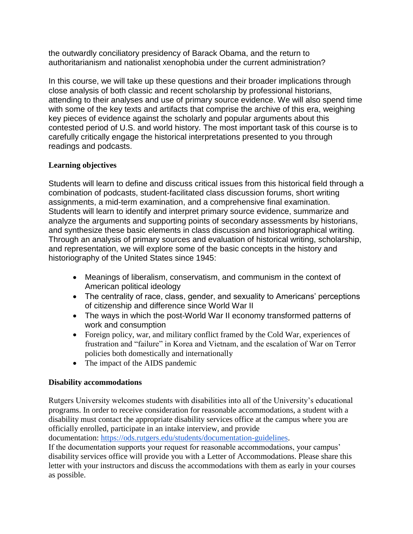the outwardly conciliatory presidency of Barack Obama, and the return to authoritarianism and nationalist xenophobia under the current administration?

In this course, we will take up these questions and their broader implications through close analysis of both classic and recent scholarship by professional historians, attending to their analyses and use of primary source evidence. We will also spend time with some of the key texts and artifacts that comprise the archive of this era, weighing key pieces of evidence against the scholarly and popular arguments about this contested period of U.S. and world history. The most important task of this course is to carefully critically engage the historical interpretations presented to you through readings and podcasts.

# **Learning objectives**

Students will learn to define and discuss critical issues from this historical field through a combination of podcasts, student-facilitated class discussion forums, short writing assignments, a mid-term examination, and a comprehensive final examination. Students will learn to identify and interpret primary source evidence, summarize and analyze the arguments and supporting points of secondary assessments by historians, and synthesize these basic elements in class discussion and historiographical writing. Through an analysis of primary sources and evaluation of historical writing, scholarship, and representation, we will explore some of the basic concepts in the history and historiography of the United States since 1945:

- Meanings of liberalism, conservatism, and communism in the context of American political ideology
- The centrality of race, class, gender, and sexuality to Americans' perceptions of citizenship and difference since World War II
- The ways in which the post-World War II economy transformed patterns of work and consumption
- Foreign policy, war, and military conflict framed by the Cold War, experiences of frustration and "failure" in Korea and Vietnam, and the escalation of War on Terror policies both domestically and internationally
- The impact of the AIDS pandemic

# **Disability accommodations**

Rutgers University welcomes students with disabilities into all of the University's educational programs. In order to receive consideration for reasonable accommodations, a student with a disability must contact the appropriate disability services office at the campus where you are officially enrolled, participate in an intake interview, and provide

documentation: [https://ods.rutgers.edu/students/documentation-guidelines.](https://ods.rutgers.edu/students/documentation-guidelines)

If the documentation supports your request for reasonable accommodations, your campus' disability services office will provide you with a Letter of Accommodations. Please share this letter with your instructors and discuss the accommodations with them as early in your courses as possible.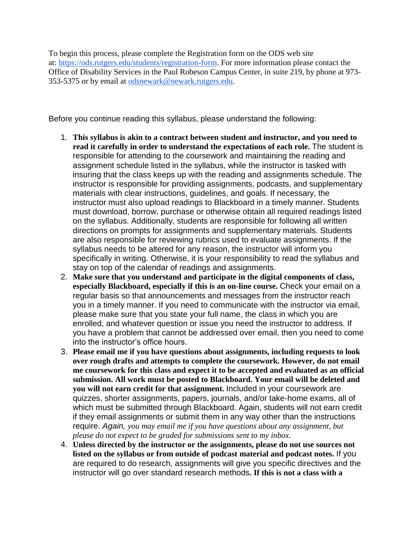To begin this process, please complete the Registration form on the ODS web site at: [https://ods.rutgers.edu/students/registration-form.](https://ods.rutgers.edu/students/registration-form) For more information please contact the Office of Disability Services in the Paul Robeson Campus Center, in suite 219, by phone at 973- 353-5375 or by email at [odsnewark@newark.rutgers.edu.](mailto:odsnewark@newark.rutgers.edu)

Before you continue reading this syllabus, please understand the following:

- 1. **This syllabus is akin to a contract between student and instructor, and you need to read it carefully in order to understand the expectations of each role.** The student is responsible for attending to the coursework and maintaining the reading and assignment schedule listed in the syllabus, while the instructor is tasked with insuring that the class keeps up with the reading and assignments schedule. The instructor is responsible for providing assignments, podcasts, and supplementary materials with clear instructions, guidelines, and goals. If necessary, the instructor must also upload readings to Blackboard in a timely manner. Students must download, borrow, purchase or otherwise obtain all required readings listed on the syllabus. Additionally, students are responsible for following all written directions on prompts for assignments and supplementary materials. Students are also responsible for reviewing rubrics used to evaluate assignments. If the syllabus needs to be altered for any reason, the instructor will inform you specifically in writing. Otherwise, it is your responsibility to read the syllabus and stay on top of the calendar of readings and assignments.
- 2. **Make sure that you understand and participate in the digital components of class, especially Blackboard, especially if this is an on-line course.** Check your email on a regular basis so that announcements and messages from the instructor reach you in a timely manner. If you need to communicate with the instructor via email, please make sure that you state your full name, the class in which you are enrolled, and whatever question or issue you need the instructor to address. If you have a problem that cannot be addressed over email, then you need to come into the instructor's office hours.
- 3. **Please email me if you have questions about assignments, including requests to look over rough drafts and attempts to complete the coursework. However, do not email me coursework for this class and expect it to be accepted and evaluated as an official submission. All work must be posted to Blackboard. Your email will be deleted and you will not earn credit for that assignment.** Included in your coursework are quizzes, shorter assignments, papers, journals, and/or take-home exams, all of which must be submitted through Blackboard. Again, students will not earn credit if they email assignments or submit them in any way other than the instructions require. *Again, you may email me if you have questions about any assignment, but please do not expect to be graded for submissions sent to my inbox.*
- 4. **Unless directed by the instructor or the assignments, please do not use sources not listed on the syllabus or from outside of podcast material and podcast notes.** If you are required to do research, assignments will give you specific directives and the instructor will go over standard research methods**. If this is not a class with a**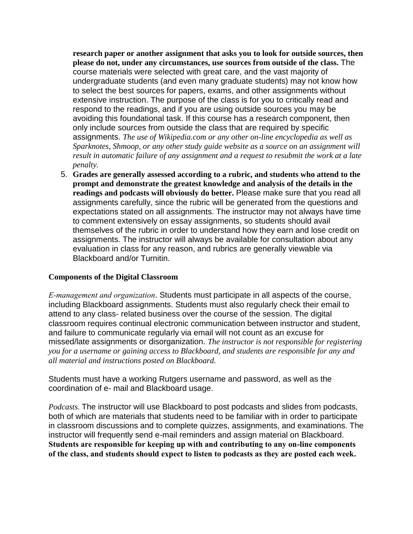**research paper or another assignment that asks you to look for outside sources, then please do not, under any circumstances, use sources from outside of the class.** The course materials were selected with great care, and the vast majority of undergraduate students (and even many graduate students) may not know how to select the best sources for papers, exams, and other assignments without extensive instruction. The purpose of the class is for you to critically read and respond to the readings, and if you are using outside sources you may be avoiding this foundational task. If this course has a research component, then only include sources from outside the class that are required by specific assignments. *The use of Wikipedia.com or any other on-line encyclopedia as well as Sparknotes, Shmoop, or any other study guide website as a source on an assignment will result in automatic failure of any assignment and a request to resubmit the work at a late penalty.* 

5. **Grades are generally assessed according to a rubric, and students who attend to the prompt and demonstrate the greatest knowledge and analysis of the details in the readings and podcasts will obviously do better.** Please make sure that you read all assignments carefully, since the rubric will be generated from the questions and expectations stated on all assignments. The instructor may not always have time to comment extensively on essay assignments, so students should avail themselves of the rubric in order to understand how they earn and lose credit on assignments. The instructor will always be available for consultation about any evaluation in class for any reason, and rubrics are generally viewable via Blackboard and/or Turnitin.

#### **Components of the Digital Classroom**

*E-management and organization*. Students must participate in all aspects of the course, including Blackboard assignments. Students must also regularly check their email to attend to any class- related business over the course of the session. The digital classroom requires continual electronic communication between instructor and student, and failure to communicate regularly via email will not count as an excuse for missed/late assignments or disorganization. *The instructor is not responsible for registering you for a username or gaining access to Blackboard, and students are responsible for any and all material and instructions posted on Blackboard.* 

Students must have a working Rutgers username and password, as well as the coordination of e- mail and Blackboard usage.

*Podcasts.* The instructor will use Blackboard to post podcasts and slides from podcasts, both of which are materials that students need to be familiar with in order to participate in classroom discussions and to complete quizzes, assignments, and examinations. The instructor will frequently send e-mail reminders and assign material on Blackboard. **Students are responsible for keeping up with and contributing to any on-line components of the class, and students should expect to listen to podcasts as they are posted each week.**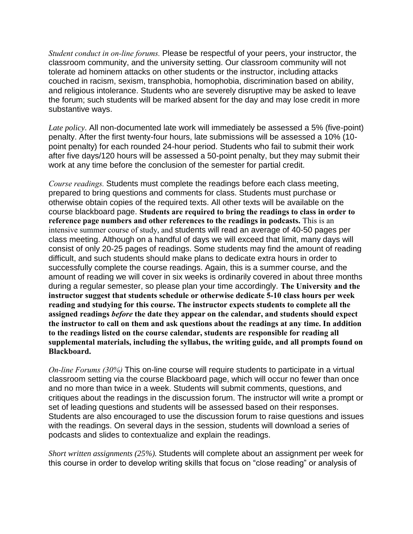*Student conduct in on-line forums.* Please be respectful of your peers, your instructor, the classroom community, and the university setting. Our classroom community will not tolerate ad hominem attacks on other students or the instructor, including attacks couched in racism, sexism, transphobia, homophobia, discrimination based on ability, and religious intolerance. Students who are severely disruptive may be asked to leave the forum; such students will be marked absent for the day and may lose credit in more substantive ways.

*Late policy*. All non-documented late work will immediately be assessed a 5% (five-point) penalty. After the first twenty-four hours, late submissions will be assessed a 10% (10 point penalty) for each rounded 24-hour period. Students who fail to submit their work after five days/120 hours will be assessed a 50-point penalty, but they may submit their work at any time before the conclusion of the semester for partial credit.

*Course readings.* Students must complete the readings before each class meeting, prepared to bring questions and comments for class. Students must purchase or otherwise obtain copies of the required texts. All other texts will be available on the course blackboard page. **Students are required to bring the readings to class in order to reference page numbers and other references to the readings in podcasts.** This is an intensive summer course of study, and students will read an average of 40-50 pages per class meeting. Although on a handful of days we will exceed that limit, many days will consist of only 20-25 pages of readings. Some students may find the amount of reading difficult, and such students should make plans to dedicate extra hours in order to successfully complete the course readings. Again, this is a summer course, and the amount of reading we will cover in six weeks is ordinarily covered in about three months during a regular semester, so please plan your time accordingly. **The University and the instructor suggest that students schedule or otherwise dedicate 5-10 class hours per week reading and studying for this course. The instructor expects students to complete all the assigned readings** *before* **the date they appear on the calendar, and students should expect the instructor to call on them and ask questions about the readings at any time. In addition to the readings listed on the course calendar, students are responsible for reading all supplemental materials, including the syllabus, the writing guide, and all prompts found on Blackboard.** 

*On-line Forums (30%)* This on-line course will require students to participate in a virtual classroom setting via the course Blackboard page, which will occur no fewer than once and no more than twice in a week. Students will submit comments, questions, and critiques about the readings in the discussion forum. The instructor will write a prompt or set of leading questions and students will be assessed based on their responses. Students are also encouraged to use the discussion forum to raise questions and issues with the readings. On several days in the session, students will download a series of podcasts and slides to contextualize and explain the readings.

*Short written assignments (25%).* Students will complete about an assignment per week for this course in order to develop writing skills that focus on "close reading" or analysis of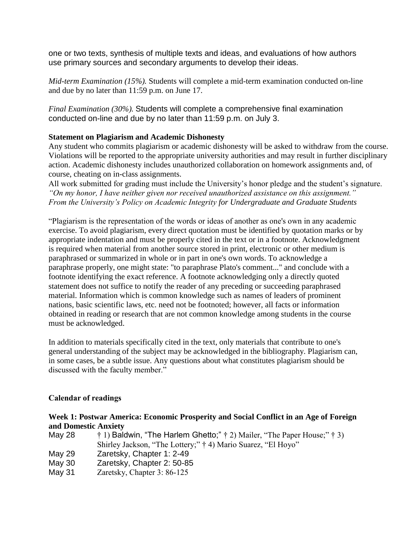one or two texts, synthesis of multiple texts and ideas, and evaluations of how authors use primary sources and secondary arguments to develop their ideas.

*Mid-term Examination (15%).* Students will complete a mid-term examination conducted on-line and due by no later than 11:59 p.m. on June 17.

*Final Examination (30%).* Students will complete a comprehensive final examination conducted on-line and due by no later than 11:59 p.m. on July 3.

## **Statement on Plagiarism and Academic Dishonesty**

Any student who commits plagiarism or academic dishonesty will be asked to withdraw from the course. Violations will be reported to the appropriate university authorities and may result in further disciplinary action. Academic dishonesty includes unauthorized collaboration on homework assignments and, of course, cheating on in-class assignments.

All work submitted for grading must include the University's honor pledge and the student's signature. *"On my honor, I have neither given nor received unauthorized assistance on this assignment." From the University's Policy on Academic Integrity for Undergraduate and Graduate Students*

"Plagiarism is the representation of the words or ideas of another as one's own in any academic exercise. To avoid plagiarism, every direct quotation must be identified by quotation marks or by appropriate indentation and must be properly cited in the text or in a footnote. Acknowledgment is required when material from another source stored in print, electronic or other medium is paraphrased or summarized in whole or in part in one's own words. To acknowledge a paraphrase properly, one might state: "to paraphrase Plato's comment..." and conclude with a footnote identifying the exact reference. A footnote acknowledging only a directly quoted statement does not suffice to notify the reader of any preceding or succeeding paraphrased material. Information which is common knowledge such as names of leaders of prominent nations, basic scientific laws, etc. need not be footnoted; however, all facts or information obtained in reading or research that are not common knowledge among students in the course must be acknowledged.

In addition to materials specifically cited in the text, only materials that contribute to one's general understanding of the subject may be acknowledged in the bibliography. Plagiarism can, in some cases, be a subtle issue. Any questions about what constitutes plagiarism should be discussed with the faculty member."

### **Calendar of readings**

### **Week 1: Postwar America: Economic Prosperity and Social Conflict in an Age of Foreign and Domestic Anxiety**

| May 28 | $\dagger$ 1) Baldwin, "The Harlem Ghetto;" $\dagger$ 2) Mailer, "The Paper House;" $\dagger$ 3) |
|--------|-------------------------------------------------------------------------------------------------|
|        | Shirley Jackson, "The Lottery;" † 4) Mario Suarez, "El Hoyo"                                    |
| May 29 | Zaretsky, Chapter 1: 2-49                                                                       |
| May 30 | Zaretsky, Chapter 2: 50-85                                                                      |
| May 31 | Zaretsky, Chapter 3: 86-125                                                                     |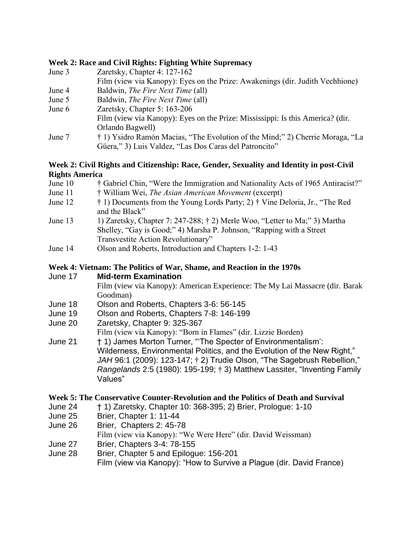#### **Week 2: Race and Civil Rights: Fighting White Supremacy**

- June 3 Zaretsky, Chapter 4: 127-162 Film (view via Kanopy): Eyes on the Prize: Awakenings (dir. Judith Vechhione)
- June 4 Baldwin, *The Fire Next Time* (all)
- June 5 Baldwin, *The Fire Next Time* (all)
- June 6 Zaretsky, Chapter 5: 163-206 Film (view via Kanopy): Eyes on the Prize: Mississippi: Is this America? (dir. Orlando Bagwell) June 7 † 1) Ysidro Ramón Macias, "The Evolution of the Mind;" 2) Cherrie Moraga, "La
	- Güera," 3) Luis Valdez, "Las Dos Caras del Patroncito"

### **Week 2: Civil Rights and Citizenship: Race, Gender, Sexuality and Identity in post-Civil Rights America**

- June 10 † Gabriel Chin, "Were the Immigration and Nationality Acts of 1965 Antiracist?"
- June 11 † William Wei, *The Asian American Movement* (excerpt)
- June 12 † 1) Documents from the Young Lords Party; 2) † Vine Deloria, Jr., "The Red and the Black"
- June 13 1) Zaretsky, Chapter 7: 247-288; † 2) Merle Woo, "Letter to Ma;" 3) Martha Shelley, "Gay is Good;" 4) Marsha P. Johnson, "Rapping with a Street Transvestite Action Revolutionary"
- June 14 Olson and Roberts, Introduction and Chapters 1-2: 1-43

## **Week 4: Vietnam: The Politics of War, Shame, and Reaction in the 1970s**

#### June 17 **Mid-term Examination**

Film (view via Kanopy): American Experience: The My Lai Massacre (dir. Barak Goodman)

- June 18 Olson and Roberts, Chapters 3-6: 56-145
- June 19 Olson and Roberts, Chapters 7-8: 146-199
- June 20 Zaretsky, Chapter 9: 325-367
	- Film (view via Kanopy): "Born in Flames" (dir. Lizzie Borden)
- June 21 † 1) James Morton Turner, "'The Specter of Environmentalism': Wilderness, Environmental Politics, and the Evolution of the New Right," *JAH* 96:1 (2009): 123-147; † 2) Trudie Olson, "The Sagebrush Rebellion," *Rangelands* 2:5 (1980): 195-199; † 3) Matthew Lassiter, "Inventing Family Values"

### **Week 5: The Conservative Counter-Revolution and the Politics of Death and Survival**

- June 24 † 1) Zaretsky, Chapter 10: 368-395; 2) Brier, Prologue: 1-10
- June 25 Brier, Chapter 1: 11-44
- June 26 Brier, Chapters 2: 45-78
	- Film (view via Kanopy): "We Were Here" (dir. David Weissman)
- June 27 Brier, Chapters 3-4: 78-155
- June 28 Brier, Chapter 5 and Epilogue: 156-201 Film (view via Kanopy): "How to Survive a Plague (dir. David France)